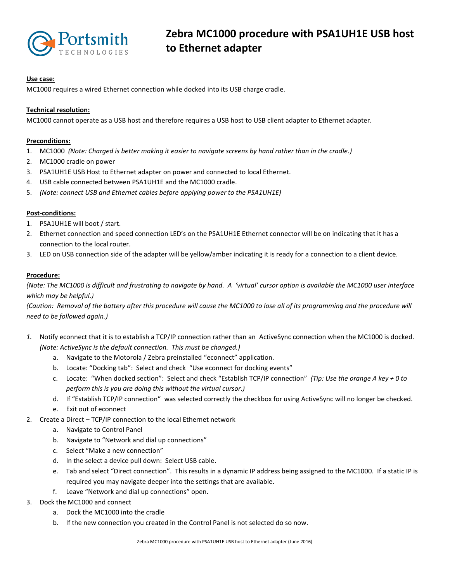

## **Use case:**

MC1000 requires a wired Ethernet connection while docked into its USB charge cradle.

## **Technical resolution:**

MC1000 cannot operate as a USB host and therefore requires a USB host to USB client adapter to Ethernet adapter.

#### **Preconditions:**

- 1. MC1000 *(Note: Charged is better making it easier to navigate screens by hand rather than in the cradle.)*
- 2. MC1000 cradle on power
- 3. PSA1UH1E USB Host to Ethernet adapter on power and connected to local Ethernet.
- 4. USB cable connected between PSA1UH1E and the MC1000 cradle.
- 5. *(Note: connect USB and Ethernet cables before applying power to the PSA1UH1E)*

#### **Post-conditions:**

- 1. PSA1UH1E will boot / start.
- 2. Ethernet connection and speed connection LED's on the PSA1UH1E Ethernet connector will be on indicating that it has a connection to the local router.
- 3. LED on USB connection side of the adapter will be yellow/amber indicating it is ready for a connection to a client device.

#### **Procedure:**

*(Note: The MC1000 is difficult and frustrating to navigate by hand. A 'virtual' cursor option is available the MC1000 user interface which may be helpful.)*

*(Caution: Removal of the battery after this procedure will cause the MC1000 to lose all of its programming and the procedure will need to be followed again.)*

- *1.* Notify econnect that it is to establish a TCP/IP connection rather than an ActiveSync connection when the MC1000 is docked. *(Note: ActiveSync is the default connection. This must be changed.)*
	- a. Navigate to the Motorola / Zebra preinstalled "econnect" application.
	- b. Locate: "Docking tab": Select and check "Use econnect for docking events"
	- c. Locate: "When docked section": Select and check "Establish TCP/IP connection" *(Tip: Use the orange A key + 0 to perform this is you are doing this without the virtual cursor.)*
	- d. If "Establish TCP/IP connection" was selected correctly the checkbox for using ActiveSync will no longer be checked.
	- e. Exit out of econnect
- 2. Create a Direct TCP/IP connection to the local Ethernet network
	- a. Navigate to Control Panel
	- b. Navigate to "Network and dial up connections"
	- c. Select "Make a new connection"
	- d. In the select a device pull down: Select USB cable.
	- e. Tab and select "Direct connection". This results in a dynamic IP address being assigned to the MC1000. If a static IP is required you may navigate deeper into the settings that are available.
	- f. Leave "Network and dial up connections" open.
- 3. Dock the MC1000 and connect
	- a. Dock the MC1000 into the cradle
	- b. If the new connection you created in the Control Panel is not selected do so now.